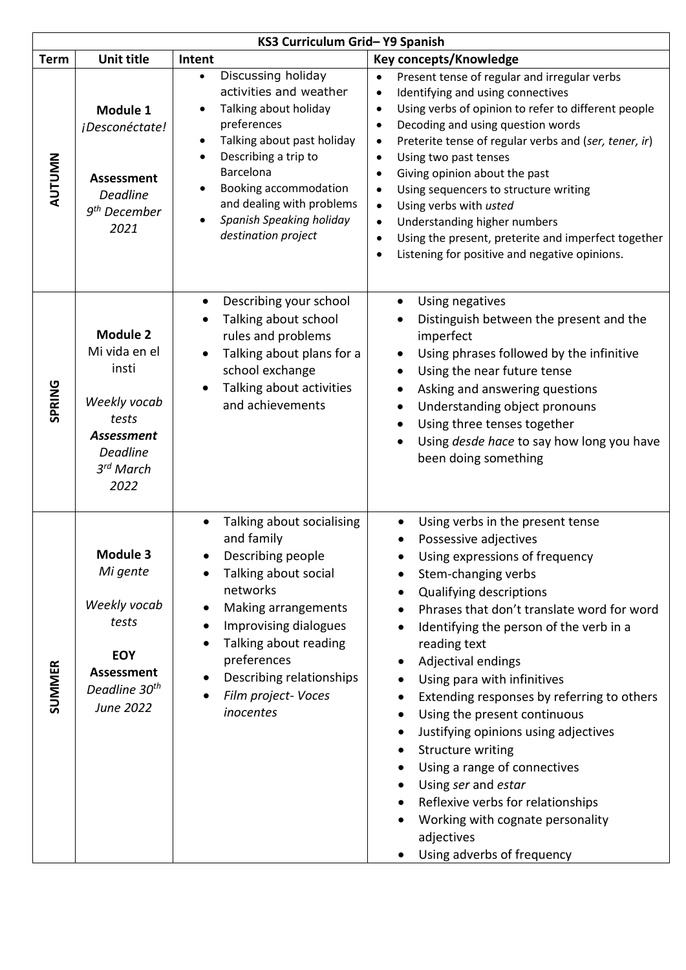| KS3 Curriculum Grid-Y9 Spanish |                                                                                                                                   |                                                                                                                                                                                                                                                                                                |                                                                                                                                                                                                                                                                                                                                                                                                                                                                                                                                                                                                                                                                         |
|--------------------------------|-----------------------------------------------------------------------------------------------------------------------------------|------------------------------------------------------------------------------------------------------------------------------------------------------------------------------------------------------------------------------------------------------------------------------------------------|-------------------------------------------------------------------------------------------------------------------------------------------------------------------------------------------------------------------------------------------------------------------------------------------------------------------------------------------------------------------------------------------------------------------------------------------------------------------------------------------------------------------------------------------------------------------------------------------------------------------------------------------------------------------------|
| <b>Term</b>                    | <b>Unit title</b>                                                                                                                 | Intent                                                                                                                                                                                                                                                                                         | <b>Key concepts/Knowledge</b>                                                                                                                                                                                                                                                                                                                                                                                                                                                                                                                                                                                                                                           |
| <b>AUTUMN</b>                  | Module 1<br>¡Desconéctate!<br><b>Assessment</b><br><b>Deadline</b><br>9 <sup>th</sup> December<br>2021                            | Discussing holiday<br>$\bullet$<br>activities and weather<br>Talking about holiday<br>preferences<br>Talking about past holiday<br>$\bullet$<br>Describing a trip to<br>Barcelona<br>Booking accommodation<br>and dealing with problems<br>Spanish Speaking holiday<br>destination project     | Present tense of regular and irregular verbs<br>$\bullet$<br>Identifying and using connectives<br>$\bullet$<br>Using verbs of opinion to refer to different people<br>$\bullet$<br>Decoding and using question words<br>$\bullet$<br>Preterite tense of regular verbs and (ser, tener, ir)<br>$\bullet$<br>Using two past tenses<br>$\bullet$<br>Giving opinion about the past<br>$\bullet$<br>Using sequencers to structure writing<br>$\bullet$<br>Using verbs with usted<br>$\bullet$<br>Understanding higher numbers<br>$\bullet$<br>Using the present, preterite and imperfect together<br>$\bullet$<br>Listening for positive and negative opinions.<br>$\bullet$ |
| <b>SPRING</b>                  | <b>Module 2</b><br>Mi vida en el<br>insti<br>Weekly vocab<br>tests<br><b>Assessment</b><br><b>Deadline</b><br>3rd March<br>2022   | Describing your school<br>Talking about school<br>rules and problems<br>Talking about plans for a<br>school exchange<br>Talking about activities<br>and achievements                                                                                                                           | Using negatives<br>Distinguish between the present and the<br>imperfect<br>Using phrases followed by the infinitive<br>Using the near future tense<br>Asking and answering questions<br>$\bullet$<br>Understanding object pronouns<br>$\bullet$<br>Using three tenses together<br>Using desde hace to say how long you have<br>been doing something                                                                                                                                                                                                                                                                                                                     |
| <b>SUMMER</b>                  | <b>Module 3</b><br>Mi gente<br>Weekly vocab<br>tests<br><b>EOY</b><br><b>Assessment</b><br>Deadline 30 <sup>th</sup><br>June 2022 | Talking about socialising<br>$\bullet$<br>and family<br>Describing people<br>Talking about social<br>networks<br>Making arrangements<br>$\bullet$<br>Improvising dialogues<br>$\bullet$<br>Talking about reading<br>preferences<br>Describing relationships<br>Film project-Voces<br>inocentes | Using verbs in the present tense<br>Possessive adjectives<br>Using expressions of frequency<br>Stem-changing verbs<br>Qualifying descriptions<br>Phrases that don't translate word for word<br>Identifying the person of the verb in a<br>reading text<br>Adjectival endings<br>Using para with infinitives<br>Extending responses by referring to others<br>Using the present continuous<br>Justifying opinions using adjectives<br>Structure writing<br>$\bullet$<br>Using a range of connectives<br>Using ser and estar<br>Reflexive verbs for relationships<br>Working with cognate personality<br>adjectives<br>Using adverbs of frequency                         |